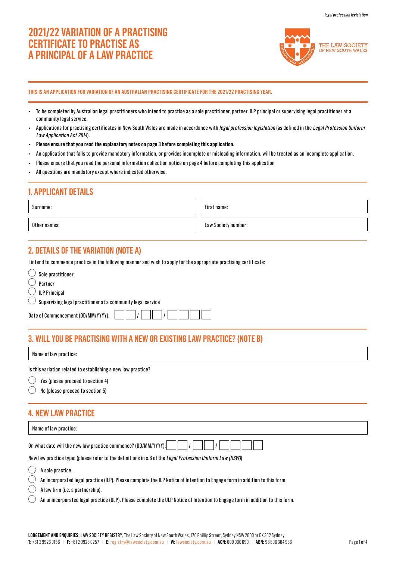# **2021/22 VARIATION OF A PRACTISING CERTIFICATE TO PRACTISE AS A PRINCIPAL OF A LAW PRACTICE**



#### **THIS IS AN APPLICATION FOR VARIATION OF AN AUSTRALIAN PRACTISING CERTIFICATE FOR THE 2021/22 PRACTISING YEAR.**

- To be completed by Australian legal practitioners who intend to practise as a sole practitioner, partner, ILP principal or supervising legal practitioner at a community legal service.
- Applications for practising certificates in New South Wales are made in accordance with legal profession legislation (as defined in the Legal Profession Uniform Law Application Act 2014).
- **Please ensure that you read the explanatory notes on page 3 before completing this application.**
- An application that fails to provide mandatory information, or provides incomplete or misleading information, will be treated as an incomplete application.
- Please ensure that you read the personal information collection notice on page 4 before completing this application
- All questions are mandatory except where indicated otherwise.

## **1. APPLICANT DETAILS**

Surname:

First name:

Other names: Law Society number: Law Society number:

## **2. DETAILS OF THE VARIATION (NOTE A)**

I intend to commence practice in the following manner and wish to apply for the appropriate practising certificate:

| Sole practitioner                                                      |
|------------------------------------------------------------------------|
| Partner                                                                |
| $\bigcirc$ ILP Principal                                               |
| $\bigcirc$ Supervising legal practitioner at a community legal service |
| Date of Commencement (DD/MM/YYYY):                                     |

## **3. WILL YOU BE PRACTISING WITH A NEW OR EXISTING LAW PRACTICE? (NOTE B)**

Name of law practice:

Is this variation related to establishing a new law practice?

 $\circlearrowright$  Yes (please proceed to section 4)

No (please proceed to section 5)

### **4. NEW LAW PRACTICE**

| Name of law practice:                                          |  |  |  |  |
|----------------------------------------------------------------|--|--|--|--|
|                                                                |  |  |  |  |
| On what date will the new law practice commence? (DD/MM/YYYY): |  |  |  |  |

New law practice type: (please refer to the definitions in s.6 of the Legal Profession Uniform Law (NSW))

 $\bigcirc$  A sole practice.

 $\sqrt{\frac{1}{2} \sum_{n=1}^{\infty} \frac{1}{n^2}}$ 

An incorporated legal practice (ILP). Please complete the ILP Notice of Intention to Engage form in addition to this form.  $\left(\begin{array}{c} \end{array}\right)$ 

A law firm (i.e. a partnership).

An unincorporated legal practice (ULP). Please complete the ULP Notice of Intention to Engage form in addition to this form.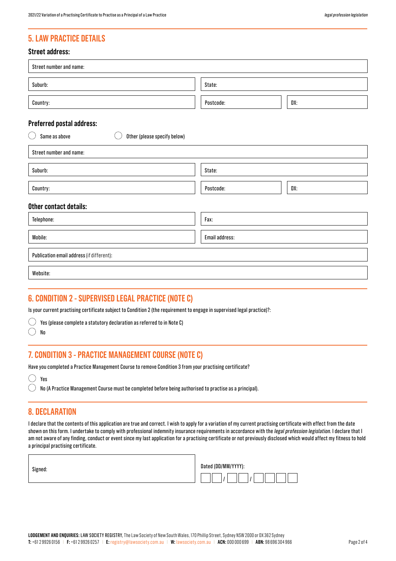## **5. LAW PRACTICE DETAILS**

### **Street address:**

| Street number and name:                                |                |     |
|--------------------------------------------------------|----------------|-----|
| Suburb:                                                | State:         |     |
| Country:                                               | Postcode:      | DX: |
| Preferred postal address:                              |                |     |
| Same as above<br>$($ )<br>Other (please specify below) |                |     |
| Street number and name:                                |                |     |
| Suburb:                                                | State:         |     |
| Country:                                               | Postcode:      | DX: |
| Other contact details:                                 |                |     |
| Telephone:                                             | Fax:           |     |
| Mobile:                                                | Email address: |     |
| Publication email address (if different):              |                |     |
| Website:                                               |                |     |
|                                                        |                |     |

### **6. CONDITION 2 - SUPERVISED LEGAL PRACTICE (NOTE C)**

Is your current practising certificate subject to Condition 2 (the requirement to engage in supervised legal practice)?:

 $\bigcirc$  Yes (please complete a statutory declaration as referred to in Note C)

 $\bigcirc$ No

## **7. CONDITION 3 - PRACTICE MANAGEMENT COURSE (NOTE C)**

Have you completed a Practice Management Course to remove Condition 3 from your practising certificate?

| и<br>еs |
|---------|
|         |

 $\bigcirc$  No (A Practice Management Course must be completed before being authorised to practise as a principal).

## **8. DECLARATION**

I declare that the contents of this application are true and correct. I wish to apply for a variation of my current practising certificate with effect from the date shown on this form. I undertake to comply with professional indemnity insurance requirements in accordance with the legal profession legislation. I declare that I am not aware of any finding, conduct or event since my last application for a practising certificate or not previously disclosed which would affect my fitness to hold a principal practising certificate.

| ٠<br>ш<br>٠<br>×<br>۰.<br>× |
|-----------------------------|
|-----------------------------|

| Dated (DD/MM/YYYY): |  |
|---------------------|--|
|                     |  |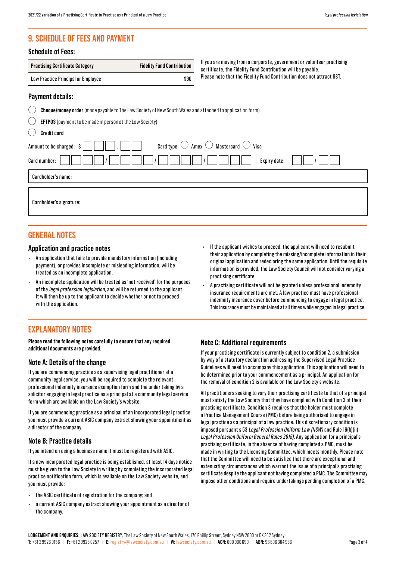## **9. SCHEDULE OF FEES AND PAYMENT**

#### **Schedule of Fees:**

| <b>Practising Certificate Category</b> | <b>Fidelity Fund Contribution</b> |
|----------------------------------------|-----------------------------------|
| Law Practice Principal or Employee     | \$90                              |

If you are moving from a corporate, government or volunteer practising certificate, the Fidelity Fund Contribution will be payable. Please note that the Fidelity Fund Contribution does not attract GST.

### **Payment details:**

|  |                           |  | <b>Cheque/money order</b> (made payable to The Law Society of New South Wales and attached to application form) |
|--|---------------------------|--|-----------------------------------------------------------------------------------------------------------------|
|  | $\bigcap$ $\qquad \qquad$ |  |                                                                                                                 |

| ╰╯ |  |  |  | $\angle$ <b>EFTPOS</b> (payment to be made in person at the Law Society) |
|----|--|--|--|--------------------------------------------------------------------------|
|----|--|--|--|--------------------------------------------------------------------------|

| Credit card |  |
|-------------|--|
|             |  |
|             |  |

| ---------                                                                                           |
|-----------------------------------------------------------------------------------------------------|
| Card type: $\bigcirc$ Amex $\bigcirc$ Mastercard $\bigcirc$ Visa<br>Amount to be charged: $\vert \$ |
| Expiry date:<br>Card number:                                                                        |
| Cardholder's name:                                                                                  |
| Cardholder's signature:                                                                             |

### **GENERAL NOTES**

#### **Application and practice notes**

- An application that fails to provide mandatory information (including payment), or provides incomplete or misleading information, will be treated as an incomplete application.
- An incomplete application will be treated as 'not received' for the purposes of the legal profession legislation, and will be returned to the applicant. It will then be up to the applicant to decide whether or not to proceed with the application.

## **EXPLANATORY NOTES**

**Please read the following notes carefully to ensure that any required additional documents are provided.**

#### **Note A: Details of the change**

If you are commencing practice as a supervising legal practitioner at a community legal service, you will be required to complete the relevant professional indemnity insurance exemption form and the under taking by a solicitor engaging in legal practice as a principal at a community legal service form which are available on the Law Society's website.

If you are commencing practice as a principal of an incorporated legal practice, you must provide a current ASIC company extract showing your appointment as a director of the company.

#### **Note B: Practice details**

If you intend on using a business name it must be registered with ASIC.

If a new incorporated legal practice is being established, at least 14 days notice must be given to the Law Society in writing by completing the incorporated legal practice notification form, which is available on the Law Society website, and you must provide:

- the ASIC certificate of registration for the company; and
- a current ASIC company extract showing your appointment as a director of the company.
- If the applicant wishes to proceed, the applicant will need to resubmit their application by completing the missing/incomplete information in their original application and redeclaring the same application. Until the requisite information is provided, the Law Society Council will not consider varying a practising certificate.
- A practising certificate will not be granted unless professional indemnity insurance requirements are met. A law practice must have professional indemnity insurance cover before commencing to engage in legal practice. This insurance must be maintained at all times while engaged in legal practice.

#### **Note C: Additional requirements**

If your practising certificate is currently subject to condition 2, a submission by way of a statutory declaration addressing the Supervised Legal Practice Guidelines will need to accompany this application. This application will need to be determined prior to your commencement as a principal. An application for the removal of condition 2 is available on the Law Society's website.

All practitioners seeking to vary their practising certificate to that of a principal must satisfy the Law Society that they have complied with Condition 3 of their practising certificate. Condition 3 requires that the holder must complete a Practice Management Course (PMC) before being authorised to engage in legal practice as a principal of a law practice. This discretionary condition is imposed pursuant s 53 Legal Profession Uniform Law (NSW) and Rule 16(b)(ii) Legal Profession Uniform General Rules 2015). Any application for a principal's practising certificate, in the absence of having completed a PMC, must be made in writing to the Licensing Committee, which meets monthly. Please note that the Committee will need to be satisfied that there are exceptional and extenuating circumstances which warrant the issue of a principal's practising certificate despite the applicant not having completed a PMC. The Committee may impose other conditions and require undertakings pending completion of a PMC.